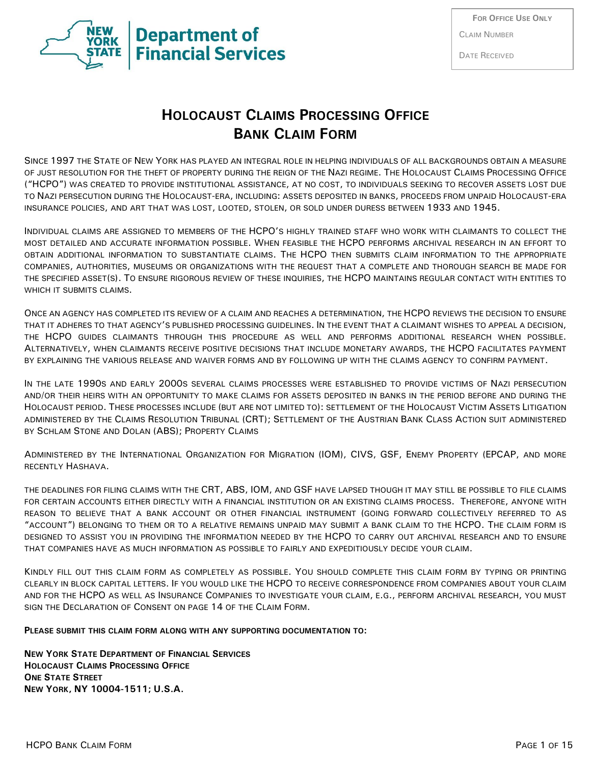

CLAIM NUMBER

DATE RECEIVED

# **HOLOCAUST CLAIMS PROCESSING OFFICE BANK CLAIM FORM**

SINCE 1997 THE STATE OF NEW YORK HAS PLAYED AN INTEGRAL ROLE IN HELPING INDIVIDUALS OF ALL BACKGROUNDS OBTAIN A MEASURE OF JUST RESOLUTION FOR THE THEFT OF PROPERTY DURING THE REIGN OF THE NAZI REGIME. THE HOLOCAUST CLAIMS PROCESSING OFFICE ("HCPO") WAS CREATED TO PROVIDE INSTITUTIONAL ASSISTANCE, AT NO COST, TO INDIVIDUALS SEEKING TO RECOVER ASSETS LOST DUE TO NAZI PERSECUTION DURING THE HOLOCAUST-ERA, INCLUDING: ASSETS DEPOSITED IN BANKS, PROCEEDS FROM UNPAID HOLOCAUST-ERA INSURANCE POLICIES, AND ART THAT WAS LOST, LOOTED, STOLEN, OR SOLD UNDER DURESS BETWEEN 1933 AND 1945.

INDIVIDUAL CLAIMS ARE ASSIGNED TO MEMBERS OF THE HCPO'S HIGHLY TRAINED STAFF WHO WORK WITH CLAIMANTS TO COLLECT THE MOST DETAILED AND ACCURATE INFORMATION POSSIBLE. WHEN FEASIBLE THE HCPO PERFORMS ARCHIVAL RESEARCH IN AN EFFORT TO OBTAIN ADDITIONAL INFORMATION TO SUBSTANTIATE CLAIMS. THE HCPO THEN SUBMITS CLAIM INFORMATION TO THE APPROPRIATE COMPANIES, AUTHORITIES, MUSEUMS OR ORGANIZATIONS WITH THE REQUEST THAT A COMPLETE AND THOROUGH SEARCH BE MADE FOR THE SPECIFIED ASSET(S). TO ENSURE RIGOROUS REVIEW OF THESE INQUIRIES, THE HCPO MAINTAINS REGULAR CONTACT WITH ENTITIES TO WHICH IT SUBMITS CLAIMS.

ONCE AN AGENCY HAS COMPLETED ITS REVIEW OF A CLAIM AND REACHES A DETERMINATION, THE HCPO REVIEWS THE DECISION TO ENSURE THAT IT ADHERES TO THAT AGENCY'S PUBLISHED PROCESSING GUIDELINES. IN THE EVENT THAT A CLAIMANT WISHES TO APPEAL A DECISION, THE HCPO GUIDES CLAIMANTS THROUGH THIS PROCEDURE AS WELL AND PERFORMS ADDITIONAL RESEARCH WHEN POSSIBLE. ALTERNATIVELY, WHEN CLAIMANTS RECEIVE POSITIVE DECISIONS THAT INCLUDE MONETARY AWARDS, THE HCPO FACILITATES PAYMENT BY EXPLAINING THE VARIOUS RELEASE AND WAIVER FORMS AND BY FOLLOWING UP WITH THE CLAIMS AGENCY TO CONFIRM PAYMENT.

IN THE LATE 1990S AND EARLY 2000S SEVERAL CLAIMS PROCESSES WERE ESTABLISHED TO PROVIDE VICTIMS OF NAZI PERSECUTION AND/OR THEIR HEIRS WITH AN OPPORTUNITY TO MAKE CLAIMS FOR ASSETS DEPOSITED IN BANKS IN THE PERIOD BEFORE AND DURING THE HOLOCAUST PERIOD. THESE PROCESSES INCLUDE (BUT ARE NOT LIMITED TO): SETTLEMENT OF THE HOLOCAUST VICTIM ASSETS LITIGATION ADMINISTERED BY THE CLAIMS RESOLUTION TRIBUNAL (CRT); SETTLEMENT OF THE AUSTRIAN BANK CLASS ACTION SUIT ADMINISTERED BY SCHLAM STONE AND DOLAN (ABS); PROPERTY CLAIMS

ADMINISTERED BY THE INTERNATIONAL ORGANIZATION FOR MIGRATION (IOM), CIVS, GSF, ENEMY PROPERTY (EPCAP, AND MORE RECENTLY HASHAVA.

THE DEADLINES FOR FILING CLAIMS WITH THE CRT, ABS, IOM, AND GSF HAVE LAPSED THOUGH IT MAY STILL BE POSSIBLE TO FILE CLAIMS FOR CERTAIN ACCOUNTS EITHER DIRECTLY WITH A FINANCIAL INSTITUTION OR AN EXISTING CLAIMS PROCESS. THEREFORE, ANYONE WITH REASON TO BELIEVE THAT A BANK ACCOUNT OR OTHER FINANCIAL INSTRUMENT (GOING FORWARD COLLECTIVELY REFERRED TO AS "ACCOUNT") BELONGING TO THEM OR TO A RELATIVE REMAINS UNPAID MAY SUBMIT A BANK CLAIM TO THE HCPO. THE CLAIM FORM IS DESIGNED TO ASSIST YOU IN PROVIDING THE INFORMATION NEEDED BY THE HCPO TO CARRY OUT ARCHIVAL RESEARCH AND TO ENSURE THAT COMPANIES HAVE AS MUCH INFORMATION AS POSSIBLE TO FAIRLY AND EXPEDITIOUSLY DECIDE YOUR CLAIM.

KINDLY FILL OUT THIS CLAIM FORM AS COMPLETELY AS POSSIBLE. YOU SHOULD COMPLETE THIS CLAIM FORM BY TYPING OR PRINTING CLEARLY IN BLOCK CAPITAL LETTERS. IF YOU WOULD LIKE THE HCPO TO RECEIVE CORRESPONDENCE FROM COMPANIES ABOUT YOUR CLAIM AND FOR THE HCPO AS WELL AS INSURANCE COMPANIES TO INVESTIGATE YOUR CLAIM, E.G., PERFORM ARCHIVAL RESEARCH, YOU MUST SIGN THE DECLARATION OF CONSENT ON PAGE 14 OF THE CLAIM FORM.

#### **PLEASE SUBMIT THIS CLAIM FORM ALONG WITH ANY SUPPORTING DOCUMENTATION TO:**

**NEW YORK STATE DEPARTMENT OF FINANCIAL SERVICES HOLOCAUST CLAIMS PROCESSING OFFICE ONE STATE STREET NEW YORK, NY 10004-1511; U.S.A.**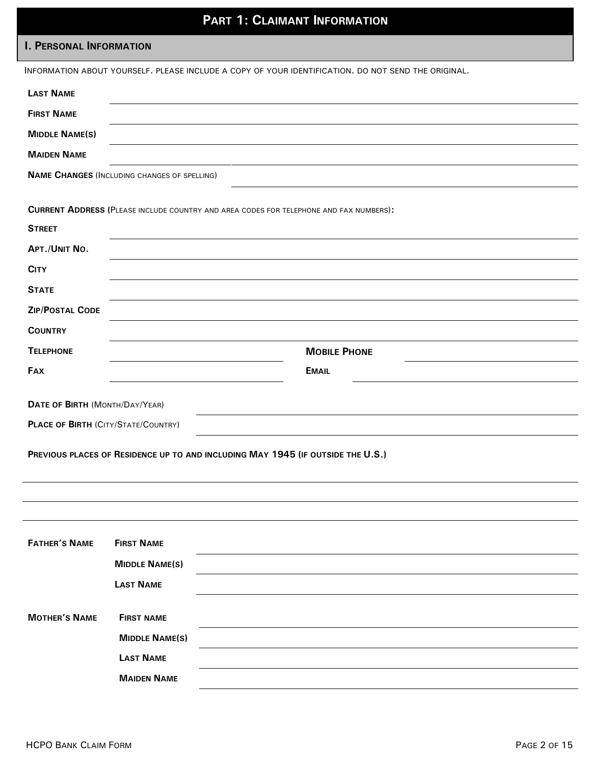# **PART 1: CLAIMANT INFORMATION**

### **I. PERSONAL INFORMATION**

|                                            |                                                     | INFORMATION ABOUT YOURSELF. PLEASE INCLUDE A COPY OF YOUR IDENTIFICATION. DO NOT SEND THE ORIGINAL. |
|--------------------------------------------|-----------------------------------------------------|-----------------------------------------------------------------------------------------------------|
| <b>LAST NAME</b>                           |                                                     |                                                                                                     |
| <b>FIRST NAME</b>                          |                                                     |                                                                                                     |
| <b>MIDDLE NAME(S)</b>                      |                                                     |                                                                                                     |
| <b>MAIDEN NAME</b>                         |                                                     |                                                                                                     |
|                                            | <b>NAME CHANGES (INCLUDING CHANGES OF SPELLING)</b> |                                                                                                     |
|                                            |                                                     | <b>CURRENT ADDRESS (PLEASE INCLUDE COUNTRY AND AREA CODES FOR TELEPHONE AND FAX NUMBERS):</b>       |
| <b>STREET</b>                              |                                                     |                                                                                                     |
| APT./UNIT NO.                              |                                                     |                                                                                                     |
| <b>CITY</b>                                |                                                     |                                                                                                     |
| <b>STATE</b>                               |                                                     |                                                                                                     |
| <b>ZIP/POSTAL CODE</b>                     |                                                     |                                                                                                     |
| <b>COUNTRY</b>                             |                                                     |                                                                                                     |
| <b>TELEPHONE</b>                           |                                                     | <b>MOBILE PHONE</b>                                                                                 |
| <b>FAX</b>                                 |                                                     | <b>EMAIL</b>                                                                                        |
|                                            |                                                     |                                                                                                     |
| DATE OF BIRTH (MONTH/DAY/YEAR)             |                                                     |                                                                                                     |
| <b>PLACE OF BIRTH (CITY/STATE/COUNTRY)</b> |                                                     |                                                                                                     |
|                                            |                                                     | PREVIOUS PLACES OF RESIDENCE UP TO AND INCLUDING MAY 1945 (IF OUTSIDE THE U.S.)                     |
|                                            |                                                     |                                                                                                     |
|                                            |                                                     |                                                                                                     |
|                                            |                                                     |                                                                                                     |
|                                            |                                                     |                                                                                                     |
| <b>FATHER'S NAME</b>                       | <b>FIRST NAME</b>                                   |                                                                                                     |
|                                            | <b>MIDDLE NAME(S)</b>                               |                                                                                                     |
|                                            | <b>LAST NAME</b>                                    |                                                                                                     |
| <b>MOTHER'S NAME</b>                       | <b>FIRST NAME</b>                                   |                                                                                                     |
|                                            | <b>MIDDLE NAME(S)</b>                               |                                                                                                     |
|                                            | <b>LAST NAME</b>                                    |                                                                                                     |
|                                            | <b>MAIDEN NAME</b>                                  |                                                                                                     |
|                                            |                                                     |                                                                                                     |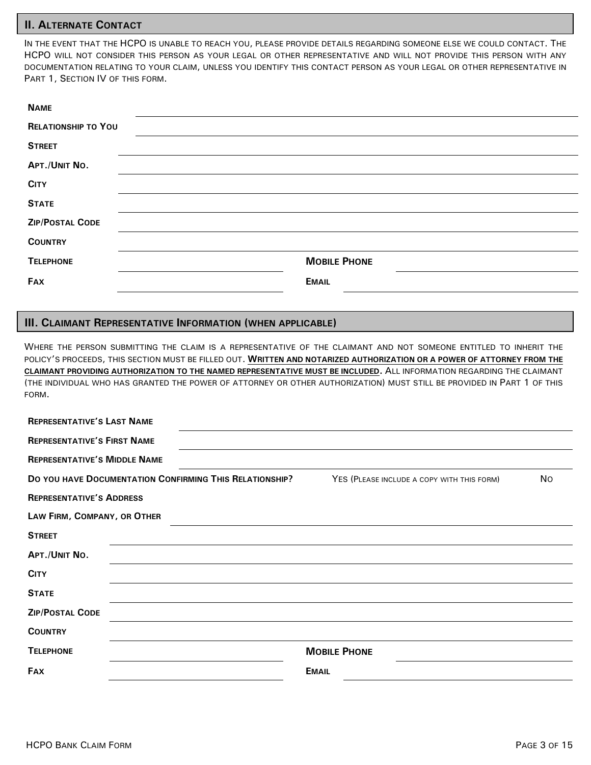#### **II. ALTERNATE CONTACT**

IN THE EVENT THAT THE HCPO IS UNABLE TO REACH YOU, PLEASE PROVIDE DETAILS REGARDING SOMEONE ELSE WE COULD CONTACT. THE HCPO WILL NOT CONSIDER THIS PERSON AS YOUR LEGAL OR OTHER REPRESENTATIVE AND WILL NOT PROVIDE THIS PERSON WITH ANY DOCUMENTATION RELATING TO YOUR CLAIM, UNLESS YOU IDENTIFY THIS CONTACT PERSON AS YOUR LEGAL OR OTHER REPRESENTATIVE IN PART 1, SECTION IV OF THIS FORM.

| <b>NAME</b>                |                     |
|----------------------------|---------------------|
| <b>RELATIONSHIP TO YOU</b> |                     |
| <b>STREET</b>              |                     |
| APT./UNIT NO.              |                     |
| <b>CITY</b>                |                     |
| <b>STATE</b>               |                     |
| <b>ZIP/POSTAL CODE</b>     |                     |
| <b>COUNTRY</b>             |                     |
| <b>TELEPHONE</b>           | <b>MOBILE PHONE</b> |
| <b>FAX</b>                 | <b>EMAIL</b>        |

#### **III. CLAIMANT REPRESENTATIVE INFORMATION (WHEN APPLICABLE)**

WHERE THE PERSON SUBMITTING THE CLAIM IS A REPRESENTATIVE OF THE CLAIMANT AND NOT SOMEONE ENTITLED TO INHERIT THE POLICY'S PROCEEDS, THIS SECTION MUST BE FILLED OUT. **WRITTEN AND NOTARIZED AUTHORIZATION OR A POWER OF ATTORNEY FROM THE CLAIMANT PROVIDING AUTHORIZATION TO THE NAMED REPRESENTATIVE MUST BE INCLUDED.** ALL INFORMATION REGARDING THE CLAIMANT (THE INDIVIDUAL WHO HAS GRANTED THE POWER OF ATTORNEY OR OTHER AUTHORIZATION) MUST STILL BE PROVIDED IN PART 1 OF THIS FORM.

| <b>REPRESENTATIVE'S LAST NAME</b>                                                                            |                     |  |  |
|--------------------------------------------------------------------------------------------------------------|---------------------|--|--|
| <b>REPRESENTATIVE'S FIRST NAME</b>                                                                           |                     |  |  |
| <b>REPRESENTATIVE'S MIDDLE NAME</b>                                                                          |                     |  |  |
| DO YOU HAVE DOCUMENTATION CONFIRMING THIS RELATIONSHIP?<br>YES (PLEASE INCLUDE A COPY WITH THIS FORM)<br>No. |                     |  |  |
| <b>REPRESENTATIVE'S ADDRESS</b>                                                                              |                     |  |  |
| LAW FIRM, COMPANY, OR OTHER                                                                                  |                     |  |  |
| <b>STREET</b>                                                                                                |                     |  |  |
| APT./UNIT NO.                                                                                                |                     |  |  |
| <b>CITY</b>                                                                                                  |                     |  |  |
| <b>STATE</b>                                                                                                 |                     |  |  |
| <b>ZIP/POSTAL CODE</b>                                                                                       |                     |  |  |
| <b>COUNTRY</b>                                                                                               |                     |  |  |
| <b>TELEPHONE</b>                                                                                             | <b>MOBILE PHONE</b> |  |  |
| <b>FAX</b><br><b>EMAIL</b>                                                                                   |                     |  |  |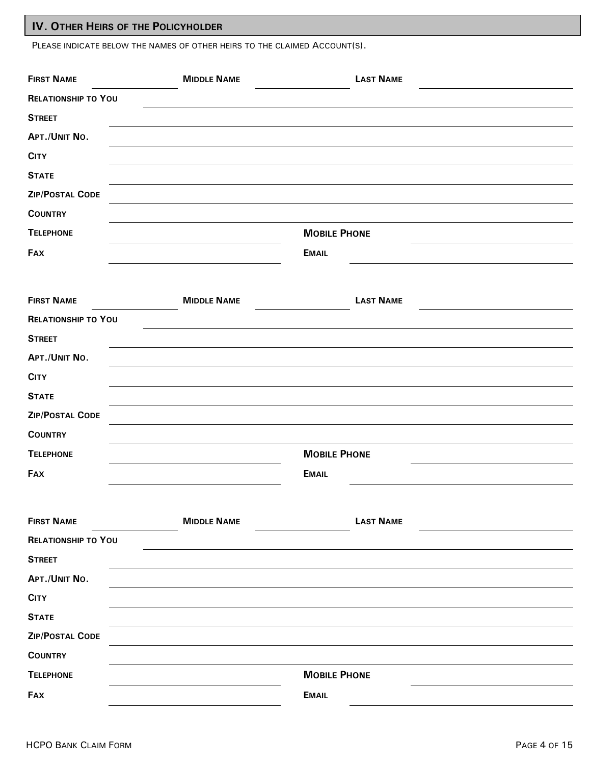### **IV. OTHER HEIRS OF THE POLICYHOLDER**

PLEASE INDICATE BELOW THE NAMES OF OTHER HEIRS TO THE CLAIMED ACCOUNT(S).

| <b>FIRST NAME</b>          | <b>MIDDLE NAME</b> | <b>LAST NAME</b>    |  |
|----------------------------|--------------------|---------------------|--|
| <b>RELATIONSHIP TO YOU</b> |                    |                     |  |
| <b>STREET</b>              |                    |                     |  |
| APT./UNIT NO.              |                    |                     |  |
| <b>CITY</b>                |                    |                     |  |
| <b>STATE</b>               |                    |                     |  |
| <b>ZIP/POSTAL CODE</b>     |                    |                     |  |
| <b>COUNTRY</b>             |                    |                     |  |
| <b>TELEPHONE</b>           |                    | <b>MOBILE PHONE</b> |  |
| <b>FAX</b>                 |                    | <b>EMAIL</b>        |  |
|                            |                    |                     |  |
| <b>FIRST NAME</b>          | <b>MIDDLE NAME</b> | <b>LAST NAME</b>    |  |
| <b>RELATIONSHIP TO YOU</b> |                    |                     |  |
| <b>STREET</b>              |                    |                     |  |
| APT./UNIT NO.              |                    |                     |  |
| <b>CITY</b>                |                    |                     |  |
| <b>STATE</b>               |                    |                     |  |
| ZIP/POSTAL CODE            |                    |                     |  |
| <b>COUNTRY</b>             |                    |                     |  |
| <b>TELEPHONE</b>           |                    | <b>MOBILE PHONE</b> |  |
| <b>FAX</b>                 |                    | <b>EMAIL</b>        |  |
|                            |                    |                     |  |
| <b>FIRST NAME</b>          | <b>MIDDLE NAME</b> | <b>LAST NAME</b>    |  |
| <b>RELATIONSHIP TO YOU</b> |                    |                     |  |
| <b>STREET</b>              |                    |                     |  |
| APT./UNIT NO.              |                    |                     |  |
| <b>CITY</b>                |                    |                     |  |
| <b>STATE</b>               |                    |                     |  |
| ZIP/POSTAL CODE            |                    |                     |  |
| <b>COUNTRY</b>             |                    |                     |  |
| <b>TELEPHONE</b>           |                    | <b>MOBILE PHONE</b> |  |
| <b>FAX</b>                 |                    | <b>EMAIL</b>        |  |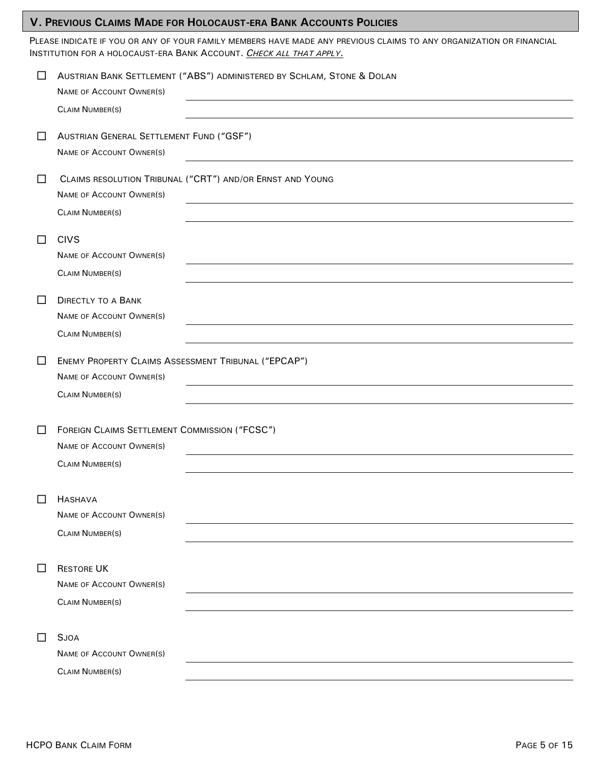### **V. PREVIOUS CLAIMS MADE FOR HOLOCAUST-ERA BANK ACCOUNTS POLICIES**

PLEASE INDICATE IF YOU OR ANY OF YOUR FAMILY MEMBERS HAVE MADE ANY PREVIOUS CLAIMS TO ANY ORGANIZATION OR FINANCIAL INSTITUTION FOR A HOLOCAUST-ERA BANK ACCOUNT. *CHECK ALL THAT APPLY*.

| □      | AUSTRIAN BANK SETTLEMENT ("ABS") ADMINISTERED BY SCHLAM, STONE & DOLAN<br><b>NAME OF ACCOUNT OWNER(S)</b>                            |
|--------|--------------------------------------------------------------------------------------------------------------------------------------|
|        | <b>CLAIM NUMBER(S)</b>                                                                                                               |
| $\Box$ | AUSTRIAN GENERAL SETTLEMENT FUND ("GSF")<br><b>NAME OF ACCOUNT OWNER(S)</b>                                                          |
| $\Box$ | CLAIMS RESOLUTION TRIBUNAL ("CRT") AND/OR ERNST AND YOUNG<br><b>NAME OF ACCOUNT OWNER(S)</b><br><b>CLAIM NUMBER(S)</b>               |
| $\Box$ | <b>CIVS</b><br><b>NAME OF ACCOUNT OWNER(S)</b><br><b>CLAIM NUMBER(S)</b>                                                             |
| □      | <b>DIRECTLY TO A BANK</b><br>NAME OF ACCOUNT OWNER(S)<br><b>CLAIM NUMBER(S)</b>                                                      |
| $\Box$ | ENEMY PROPERTY CLAIMS ASSESSMENT TRIBUNAL ("EPCAP")<br><b>NAME OF ACCOUNT OWNER(S)</b>                                               |
| $\Box$ | <b>CLAIM NUMBER(S)</b><br>FOREIGN CLAIMS SETTLEMENT COMMISSION ("FCSC")<br><b>NAME OF ACCOUNT OWNER(S)</b><br><b>CLAIM NUMBER(S)</b> |
|        | $\Box$ HASHAVA<br><b>NAME OF ACCOUNT OWNER(S)</b><br><b>CLAIM NUMBER(S)</b>                                                          |
| $\Box$ | <b>RESTORE UK</b><br><b>NAME OF ACCOUNT OWNER(S)</b><br><b>CLAIM NUMBER(S)</b>                                                       |
| □      | <b>SJOA</b><br>NAME OF ACCOUNT OWNER(S)<br><b>CLAIM NUMBER(S)</b>                                                                    |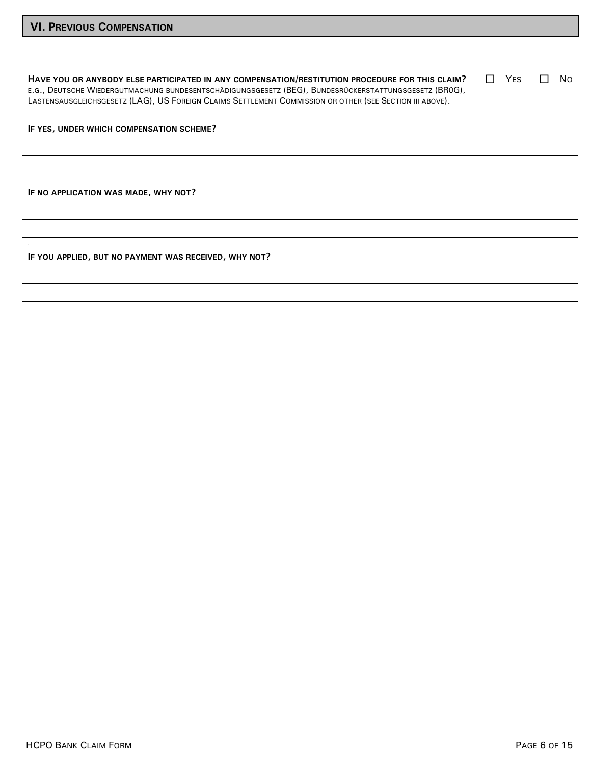**HAVE YOU OR ANYBODY ELSE PARTICIPATED IN ANY COMPENSATION/RESTITUTION PROCEDURE FOR THIS CLAIM?** E.G., DEUTSCHE WIEDERGUTMACHUNG BUNDESENTSCHÄDIGUNGSGESETZ (BEG), BUNDESRÜCKERSTATTUNGSGESETZ (BRÜG), LASTENSAUSGLEICHSGESETZ (LAG), US FOREIGN CLAIMS SETTLEMENT COMMISSION OR OTHER (SEE SECTION III ABOVE).  $\Box$  YES  $\Box$  No

**IF YES, UNDER WHICH COMPENSATION SCHEME?**

**IF NO APPLICATION WAS MADE, WHY NOT?**

**.**

**IF YOU APPLIED, BUT NO PAYMENT WAS RECEIVED, WHY NOT?**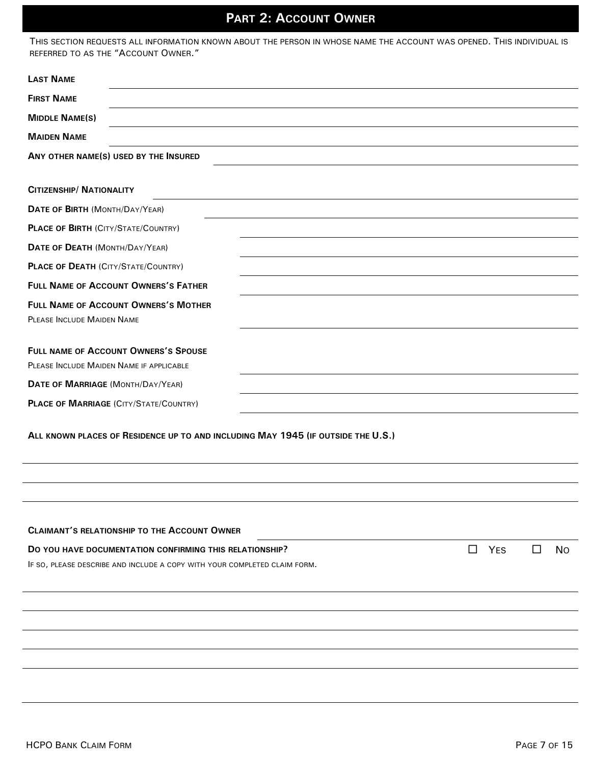# **PART 2: ACCOUNT OWNER**

| THIS SECTION REQUESTS ALL INFORMATION KNOWN ABOUT THE PERSON IN WHOSE NAME THE ACCOUNT WAS OPENED. THIS INDIVIDUAL IS |  |
|-----------------------------------------------------------------------------------------------------------------------|--|
| REFERRED TO AS THE "ACCOUNT OWNER."                                                                                   |  |

| <b>LAST NAME</b>                                                                                |  |  |
|-------------------------------------------------------------------------------------------------|--|--|
| <b>FIRST NAME</b>                                                                               |  |  |
| <b>MIDDLE NAME(S)</b>                                                                           |  |  |
| <b>MAIDEN NAME</b>                                                                              |  |  |
| ANY OTHER NAME(S) USED BY THE INSURED                                                           |  |  |
|                                                                                                 |  |  |
| <b>CITIZENSHIP/ NATIONALITY</b>                                                                 |  |  |
| DATE OF BIRTH (MONTH/DAY/YEAR)                                                                  |  |  |
| <b>PLACE OF BIRTH (CITY/STATE/COUNTRY)</b>                                                      |  |  |
| DATE OF DEATH (MONTH/DAY/YEAR)                                                                  |  |  |
| <b>PLACE OF DEATH (CITY/STATE/COUNTRY)</b>                                                      |  |  |
| <b>FULL NAME OF ACCOUNT OWNERS'S FATHER</b>                                                     |  |  |
| <b>FULL NAME OF ACCOUNT OWNERS'S MOTHER</b>                                                     |  |  |
| <b>PLEASE INCLUDE MAIDEN NAME</b>                                                               |  |  |
| FULL NAME OF ACCOUNT OWNERS'S SPOUSE<br>PLEASE INCLUDE MAIDEN NAME IF APPLICABLE                |  |  |
| DATE OF MARRIAGE (MONTH/DAY/YEAR)                                                               |  |  |
| <b>PLACE OF MARRIAGE (CITY/STATE/COUNTRY)</b>                                                   |  |  |
| ALL KNOWN PLACES OF RESIDENCE UP TO AND INCLUDING MAY 1945 (IF OUTSIDE THE U.S.)                |  |  |
|                                                                                                 |  |  |
| <b>CLAIMANT'S RELATIONSHIP TO THE ACCOUNT OWNER</b>                                             |  |  |
| YES<br>$\Box$<br><b>No</b><br>DO YOU HAVE DOCUMENTATION CONFIRMING THIS RELATIONSHIP?<br>$\Box$ |  |  |
| IF SO, PLEASE DESCRIBE AND INCLUDE A COPY WITH YOUR COMPLETED CLAIM FORM.                       |  |  |
|                                                                                                 |  |  |
|                                                                                                 |  |  |
|                                                                                                 |  |  |
|                                                                                                 |  |  |
|                                                                                                 |  |  |
|                                                                                                 |  |  |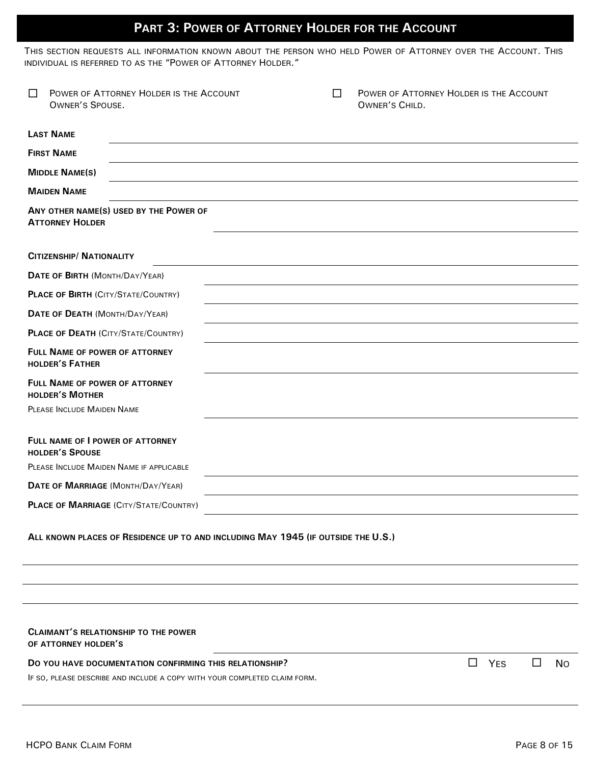## **PART 3: POWER OF ATTORNEY HOLDER FOR THE ACCOUNT**

THIS SECTION REQUESTS ALL INFORMATION KNOWN ABOUT THE PERSON WHO HELD POWER OF ATTORNEY OVER THE ACCOUNT. THIS INDIVIDUAL IS REFERRED TO AS THE "POWER OF ATTORNEY HOLDER."

| □                                                                         | POWER OF ATTORNEY HOLDER IS THE ACCOUNT<br><b>OWNER'S SPOUSE.</b>                | П | POWER OF ATTORNEY HOLDER IS THE ACCOUNT<br>OWNER'S CHILD. |   |     |        |           |
|---------------------------------------------------------------------------|----------------------------------------------------------------------------------|---|-----------------------------------------------------------|---|-----|--------|-----------|
|                                                                           | <b>LAST NAME</b>                                                                 |   |                                                           |   |     |        |           |
|                                                                           | <b>FIRST NAME</b>                                                                |   |                                                           |   |     |        |           |
|                                                                           | <b>MIDDLE NAME(S)</b>                                                            |   |                                                           |   |     |        |           |
|                                                                           | <b>MAIDEN NAME</b>                                                               |   |                                                           |   |     |        |           |
|                                                                           | ANY OTHER NAME(S) USED BY THE POWER OF<br><b>ATTORNEY HOLDER</b>                 |   |                                                           |   |     |        |           |
|                                                                           | <b>CITIZENSHIP/ NATIONALITY</b>                                                  |   |                                                           |   |     |        |           |
|                                                                           | DATE OF BIRTH (MONTH/DAY/YEAR)                                                   |   |                                                           |   |     |        |           |
|                                                                           | <b>PLACE OF BIRTH (CITY/STATE/COUNTRY)</b>                                       |   |                                                           |   |     |        |           |
|                                                                           | DATE OF DEATH (MONTH/DAY/YEAR)                                                   |   |                                                           |   |     |        |           |
|                                                                           | <b>PLACE OF DEATH (CITY/STATE/COUNTRY)</b>                                       |   |                                                           |   |     |        |           |
|                                                                           | FULL NAME OF POWER OF ATTORNEY<br><b>HOLDER'S FATHER</b>                         |   |                                                           |   |     |        |           |
|                                                                           | FULL NAME OF POWER OF ATTORNEY<br><b>HOLDER'S MOTHER</b>                         |   |                                                           |   |     |        |           |
|                                                                           | <b>PLEASE INCLUDE MAIDEN NAME</b>                                                |   |                                                           |   |     |        |           |
|                                                                           | FULL NAME OF I POWER OF ATTORNEY<br><b>HOLDER'S SPOUSE</b>                       |   |                                                           |   |     |        |           |
|                                                                           | PLEASE INCLUDE MAIDEN NAME IF APPLICABLE                                         |   |                                                           |   |     |        |           |
|                                                                           | DATE OF MARRIAGE (MONTH/DAY/YEAR)                                                |   |                                                           |   |     |        |           |
|                                                                           | <b>PLACE OF MARRIAGE (CITY/STATE/COUNTRY)</b>                                    |   |                                                           |   |     |        |           |
|                                                                           | ALL KNOWN PLACES OF RESIDENCE UP TO AND INCLUDING MAY 1945 (IF OUTSIDE THE U.S.) |   |                                                           |   |     |        |           |
|                                                                           |                                                                                  |   |                                                           |   |     |        |           |
|                                                                           |                                                                                  |   |                                                           |   |     |        |           |
|                                                                           | <b>CLAIMANT'S RELATIONSHIP TO THE POWER</b><br>OF ATTORNEY HOLDER'S              |   |                                                           |   |     |        |           |
|                                                                           | DO YOU HAVE DOCUMENTATION CONFIRMING THIS RELATIONSHIP?                          |   |                                                           | □ | YES | $\Box$ | <b>No</b> |
| IF SO, PLEASE DESCRIBE AND INCLUDE A COPY WITH YOUR COMPLETED CLAIM FORM. |                                                                                  |   |                                                           |   |     |        |           |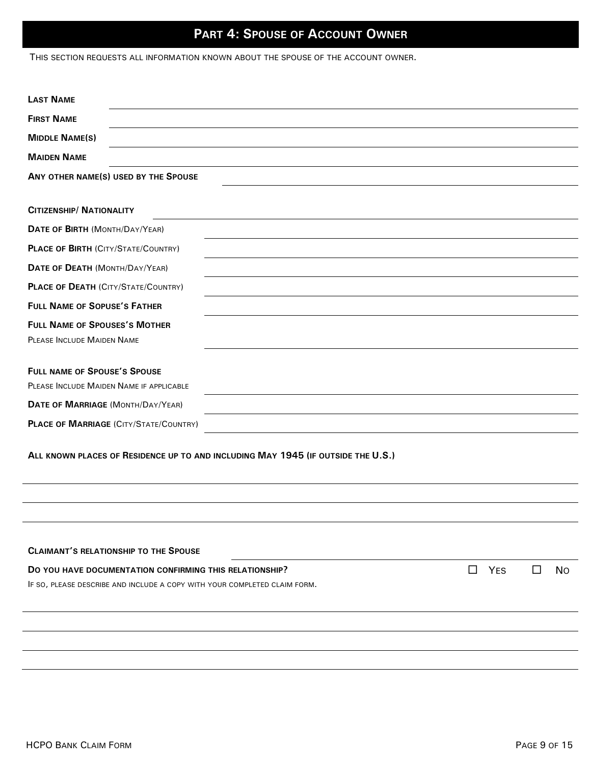## **PART 4: SPOUSE OF ACCOUNT OWNER**

THIS SECTION REQUESTS ALL INFORMATION KNOWN ABOUT THE SPOUSE OF THE ACCOUNT OWNER.

| <b>LAST NAME</b>                                                                 |        |           |  |
|----------------------------------------------------------------------------------|--------|-----------|--|
| <b>FIRST NAME</b>                                                                |        |           |  |
| <b>MIDDLE NAME(S)</b>                                                            |        |           |  |
| <b>MAIDEN NAME</b>                                                               |        |           |  |
| ANY OTHER NAME(S) USED BY THE SPOUSE                                             |        |           |  |
|                                                                                  |        |           |  |
| <b>CITIZENSHIP/ NATIONALITY</b>                                                  |        |           |  |
| DATE OF BIRTH (MONTH/DAY/YEAR)                                                   |        |           |  |
| <b>PLACE OF BIRTH (CITY/STATE/COUNTRY)</b>                                       |        |           |  |
| DATE OF DEATH (MONTH/DAY/YEAR)                                                   |        |           |  |
| <b>PLACE OF DEATH (CITY/STATE/COUNTRY)</b>                                       |        |           |  |
| <b>FULL NAME OF SOPUSE'S FATHER</b>                                              |        |           |  |
| <b>FULL NAME OF SPOUSES'S MOTHER</b>                                             |        |           |  |
| PLEASE INCLUDE MAIDEN NAME                                                       |        |           |  |
| <b>FULL NAME OF SPOUSE'S SPOUSE</b><br>PLEASE INCLUDE MAIDEN NAME IF APPLICABLE  |        |           |  |
| DATE OF MARRIAGE (MONTH/DAY/YEAR)                                                |        |           |  |
| <b>PLACE OF MARRIAGE (CITY/STATE/COUNTRY)</b>                                    |        |           |  |
| ALL KNOWN PLACES OF RESIDENCE UP TO AND INCLUDING MAY 1945 (IF OUTSIDE THE U.S.) |        |           |  |
|                                                                                  |        |           |  |
|                                                                                  |        |           |  |
| <b>CLAIMANT'S RELATIONSHIP TO THE SPOUSE</b>                                     |        |           |  |
| YES<br>$\Box$<br>DO YOU HAVE DOCUMENTATION CONFIRMING THIS RELATIONSHIP?         | $\Box$ | <b>No</b> |  |
| IF SO, PLEASE DESCRIBE AND INCLUDE A COPY WITH YOUR COMPLETED CLAIM FORM.        |        |           |  |
|                                                                                  |        |           |  |
|                                                                                  |        |           |  |
|                                                                                  |        |           |  |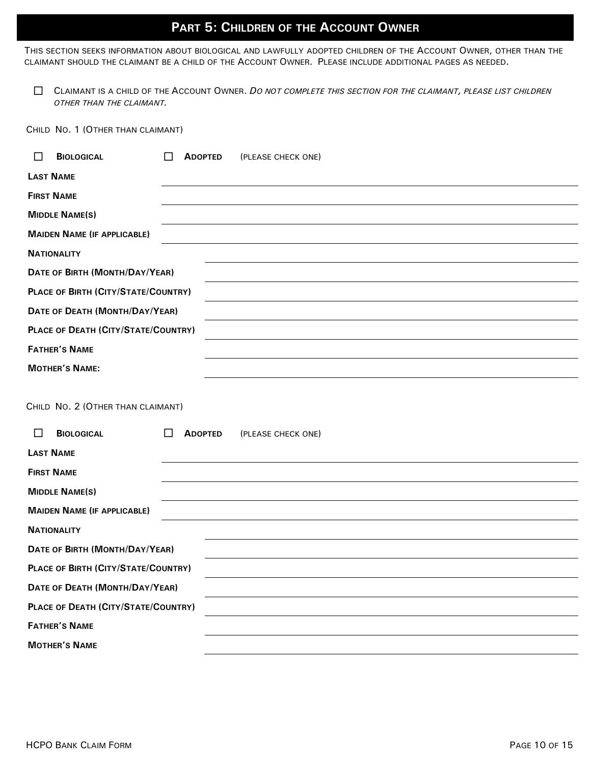### **PART 5: CHILDREN OF THE ACCOUNT OWNER**

THIS SECTION SEEKS INFORMATION ABOUT BIOLOGICAL AND LAWFULLY ADOPTED CHILDREN OF THE ACCOUNT OWNER, OTHER THAN THE CLAIMANT SHOULD THE CLAIMANT BE A CHILD OF THE ACCOUNT OWNER. PLEASE INCLUDE ADDITIONAL PAGES AS NEEDED.

 CLAIMANT IS A CHILD OF THE ACCOUNT OWNER. *DO NOT COMPLETE THIS SECTION FOR THE CLAIMANT, PLEASE LIST CHILDREN OTHER THAN THE CLAIMANT.*

CHILD NO. 1 (OTHER THAN CLAIMANT)

| <b>BIOLOGICAL</b><br>$\mathsf{L}$                                                    | <b>ADOPTED</b><br>(PLEASE CHECK ONE)      |  |
|--------------------------------------------------------------------------------------|-------------------------------------------|--|
| <b>LAST NAME</b>                                                                     |                                           |  |
| <b>FIRST NAME</b>                                                                    |                                           |  |
| <b>MIDDLE NAME(S)</b>                                                                |                                           |  |
| <b>MAIDEN NAME (IF APPLICABLE)</b>                                                   |                                           |  |
| <b>NATIONALITY</b>                                                                   |                                           |  |
| DATE OF BIRTH (MONTH/DAY/YEAR)                                                       |                                           |  |
| PLACE OF BIRTH (CITY/STATE/COUNTRY)                                                  |                                           |  |
| DATE OF DEATH (MONTH/DAY/YEAR)                                                       |                                           |  |
| PLACE OF DEATH (CITY/STATE/COUNTRY)                                                  |                                           |  |
| <b>FATHER'S NAME</b>                                                                 |                                           |  |
| <b>MOTHER'S NAME:</b>                                                                |                                           |  |
| CHILD NO. 2 (OTHER THAN CLAIMANT)<br><b>BIOLOGICAL</b><br>$\Box$<br><b>LAST NAME</b> | <b>ADOPTED</b><br>(PLEASE CHECK ONE)<br>П |  |
| <b>FIRST NAME</b>                                                                    |                                           |  |
| <b>MIDDLE NAME(S)</b>                                                                |                                           |  |
| <b>MAIDEN NAME (IF APPLICABLE)</b>                                                   |                                           |  |
| <b>NATIONALITY</b>                                                                   |                                           |  |
| DATE OF BIRTH (MONTH/DAY/YEAR)                                                       |                                           |  |
| PLACE OF BIRTH (CITY/STATE/COUNTRY)                                                  |                                           |  |
| DATE OF DEATH (MONTH/DAY/YEAR)                                                       |                                           |  |
| PLACE OF DEATH (CITY/STATE/COUNTRY)                                                  |                                           |  |
| <b>FATHER'S NAME</b>                                                                 |                                           |  |
| <b>MOTHER'S NAME</b>                                                                 |                                           |  |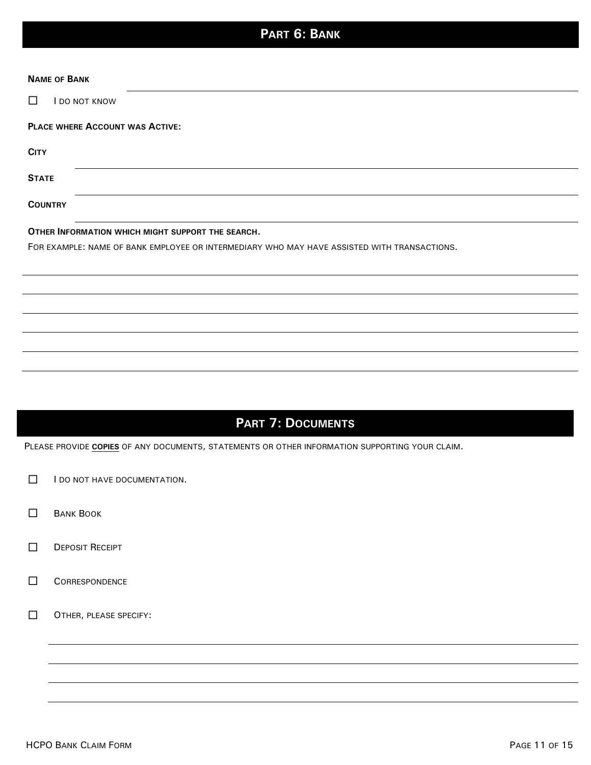# **PART 6: BANK**

| <b>NAME OF BANK</b>                                                                         |  |  |
|---------------------------------------------------------------------------------------------|--|--|
| I DO NOT KNOW<br>П                                                                          |  |  |
| PLACE WHERE ACCOUNT WAS ACTIVE:                                                             |  |  |
| <b>CITY</b>                                                                                 |  |  |
| <b>STATE</b>                                                                                |  |  |
| <b>COUNTRY</b>                                                                              |  |  |
| OTHER INFORMATION WHICH MIGHT SUPPORT THE SEARCH.                                           |  |  |
| FOR EXAMPLE: NAME OF BANK EMPLOYEE OR INTERMEDIARY WHO MAY HAVE ASSISTED WITH TRANSACTIONS. |  |  |
|                                                                                             |  |  |
|                                                                                             |  |  |
|                                                                                             |  |  |
|                                                                                             |  |  |
|                                                                                             |  |  |
|                                                                                             |  |  |
|                                                                                             |  |  |
|                                                                                             |  |  |

# **PART 7: DOCUMENTS**

PLEASE PROVIDE **COPIES** OF ANY DOCUMENTS, STATEMENTS OR OTHER INFORMATION SUPPORTING YOUR CLAIM.

- $\Box$  I do not have documentation.
- **BANK BOOK**
- **DEPOSIT RECEIPT**
- **CORRESPONDENCE**
- OTHER, PLEASE SPECIFY: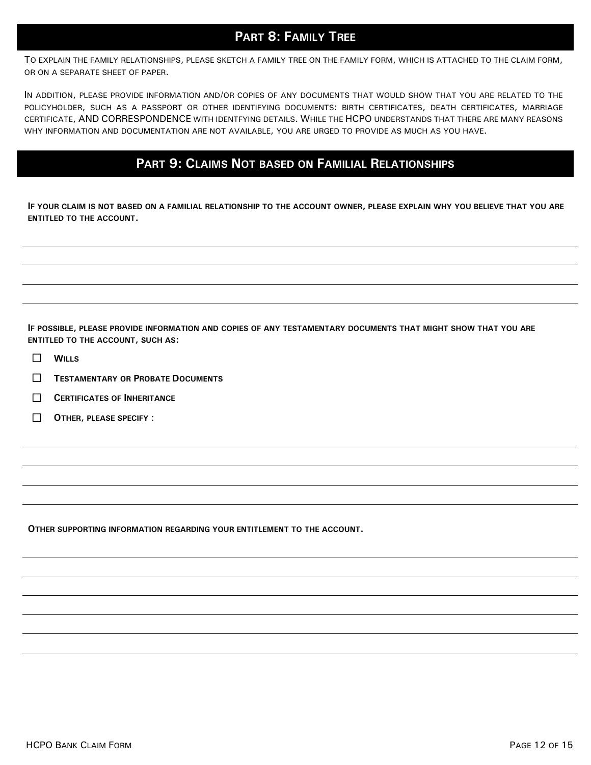## **PART 8: FAMILY TREE**

TO EXPLAIN THE FAMILY RELATIONSHIPS, PLEASE SKETCH A FAMILY TREE ON THE FAMILY FORM, WHICH IS ATTACHED TO THE CLAIM FORM, OR ON A SEPARATE SHEET OF PAPER.

 CERTIFICATE, AND CORRESPONDENCE WITH IDENTFYING DETAILS. WHILE THE HCPO UNDERSTANDS THAT THERE ARE MANY REASONS IN ADDITION, PLEASE PROVIDE INFORMATION AND/OR COPIES OF ANY DOCUMENTS THAT WOULD SHOW THAT YOU ARE RELATED TO THE POLICYHOLDER, SUCH AS A PASSPORT OR OTHER IDENTIFYING DOCUMENTS: BIRTH CERTIFICATES, DEATH CERTIFICATES, MARRIAGE WHY INFORMATION AND DOCUMENTATION ARE NOT AVAILABLE, YOU ARE URGED TO PROVIDE AS MUCH AS YOU HAVE.

### **PART 9: CLAIMS NOT BASED ON FAMILIAL RELATIONSHIPS**

**IF YOUR CLAIM IS NOT BASED ON A FAMILIAL RELATIONSHIP TO THE ACCOUNT OWNER, PLEASE EXPLAIN WHY YOU BELIEVE THAT YOU ARE ENTITLED TO THE ACCOUNT.**

**IF POSSIBLE, PLEASE PROVIDE INFORMATION AND COPIES OF ANY TESTAMENTARY DOCUMENTS THAT MIGHT SHOW THAT YOU ARE ENTITLED TO THE ACCOUNT, SUCH AS:**

- $\Box$  WILLS
- **TESTAMENTARY OR PROBATE DOCUMENTS**
- **CERTIFICATES OF INHERITANCE**
- **OTHER, PLEASE SPECIFY** :

**OTHER SUPPORTING INFORMATION REGARDING YOUR ENTITLEMENT TO THE ACCOUNT.**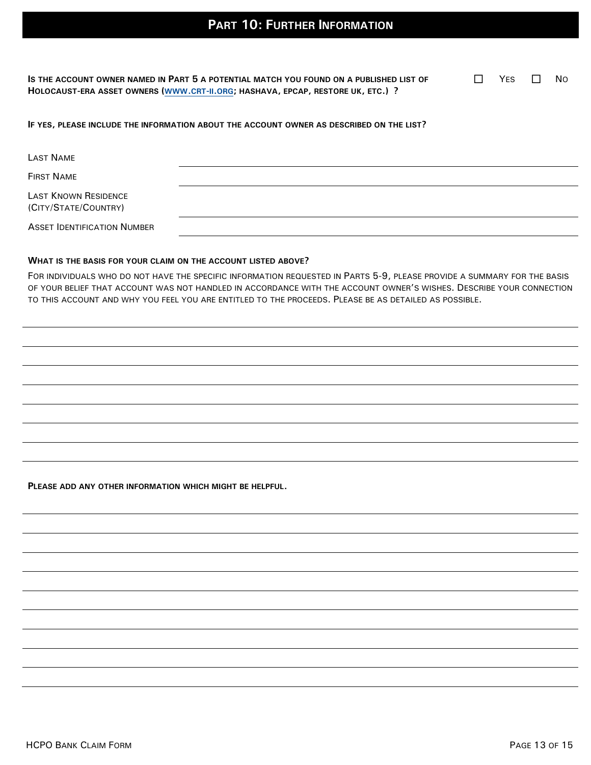**IS THE ACCOUNT OWNER NAMED IN PART 5 A POTENTIAL MATCH YOU FOUND ON A PUBLISHED LIST OF**  HOLOCAUST-ERA ASSET OWNERS ([WWW](http://www.crt-ii.org/).CRT-II.ORG; HASHAVA, EPCAP, RESTORE UK, ETC.) ?

 $\Box$  YES  $\Box$  No

#### **IF YES, PLEASE INCLUDE THE INFORMATION ABOUT THE ACCOUNT OWNER AS DESCRIBED ON THE LIST?**

| LAST NAME                                    |  |
|----------------------------------------------|--|
| <b>FIRST NAME</b>                            |  |
| LAST KNOWN RESIDENCE<br>(CITY/STATE/COUNTRY) |  |
| <b>ASSET IDENTIFICATION NUMBER</b>           |  |

#### **WHAT IS THE BASIS FOR YOUR CLAIM ON THE ACCOUNT LISTED ABOVE?**

FOR INDIVIDUALS WHO DO NOT HAVE THE SPECIFIC INFORMATION REQUESTED IN PARTS 5-9, PLEASE PROVIDE A SUMMARY FOR THE BASIS OF YOUR BELIEF THAT ACCOUNT WAS NOT HANDLED IN ACCORDANCE WITH THE ACCOUNT OWNER'S WISHES. DESCRIBE YOUR CONNECTION TO THIS ACCOUNT AND WHY YOU FEEL YOU ARE ENTITLED TO THE PROCEEDS. PLEASE BE AS DETAILED AS POSSIBLE.

**PLEASE ADD ANY OTHER INFORMATION WHICH MIGHT BE HELPFUL.**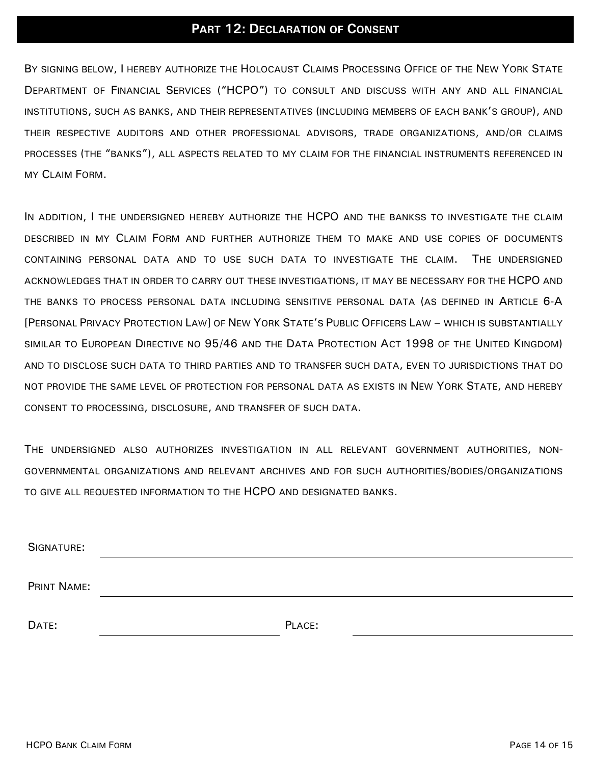## **PART 12: DECLARATION OF CONSENT**

BY SIGNING BELOW, I HEREBY AUTHORIZE THE HOLOCAUST CLAIMS PROCESSING OFFICE OF THE NEW YORK STATE DEPARTMENT OF FINANCIAL SERVICES ("HCPO") TO CONSULT AND DISCUSS WITH ANY AND ALL FINANCIAL INSTITUTIONS, SUCH AS BANKS, AND THEIR REPRESENTATIVES (INCLUDING MEMBERS OF EACH BANK'S GROUP), AND THEIR RESPECTIVE AUDITORS AND OTHER PROFESSIONAL ADVISORS, TRADE ORGANIZATIONS, AND/OR CLAIMS PROCESSES (THE "BANKS"), ALL ASPECTS RELATED TO MY CLAIM FOR THE FINANCIAL INSTRUMENTS REFERENCED IN MY CLAIM FORM.

IN ADDITION, I THE UNDERSIGNED HEREBY AUTHORIZE THE HCPO AND THE BANKSS TO INVESTIGATE THE CLAIM DESCRIBED IN MY CLAIM FORM AND FURTHER AUTHORIZE THEM TO MAKE AND USE COPIES OF DOCUMENTS CONTAINING PERSONAL DATA AND TO USE SUCH DATA TO INVESTIGATE THE CLAIM. THE UNDERSIGNED ACKNOWLEDGES THAT IN ORDER TO CARRY OUT THESE INVESTIGATIONS, IT MAY BE NECESSARY FOR THE HCPO AND THE BANKS TO PROCESS PERSONAL DATA INCLUDING SENSITIVE PERSONAL DATA (AS DEFINED IN ARTICLE 6-A [PERSONAL PRIVACY PROTECTION LAW] OF NEW YORK STATE'S PUBLIC OFFICERS LAW – WHICH IS SUBSTANTIALLY SIMILAR TO EUROPEAN DIRECTIVE NO 95/46 AND THE DATA PROTECTION ACT 1998 OF THE UNITED KINGDOM) AND TO DISCLOSE SUCH DATA TO THIRD PARTIES AND TO TRANSFER SUCH DATA, EVEN TO JURISDICTIONS THAT DO NOT PROVIDE THE SAME LEVEL OF PROTECTION FOR PERSONAL DATA AS EXISTS IN NEW YORK STATE, AND HEREBY CONSENT TO PROCESSING, DISCLOSURE, AND TRANSFER OF SUCH DATA.

THE UNDERSIGNED ALSO AUTHORIZES INVESTIGATION IN ALL RELEVANT GOVERNMENT AUTHORITIES, NON-GOVERNMENTAL ORGANIZATIONS AND RELEVANT ARCHIVES AND FOR SUCH AUTHORITIES/BODIES/ORGANIZATIONS TO GIVE ALL REQUESTED INFORMATION TO THE HCPO AND DESIGNATED BANKS.

| SIGNATURE:  |        |  |
|-------------|--------|--|
|             |        |  |
| PRINT NAME: |        |  |
|             |        |  |
| DATE:       | PLACE: |  |